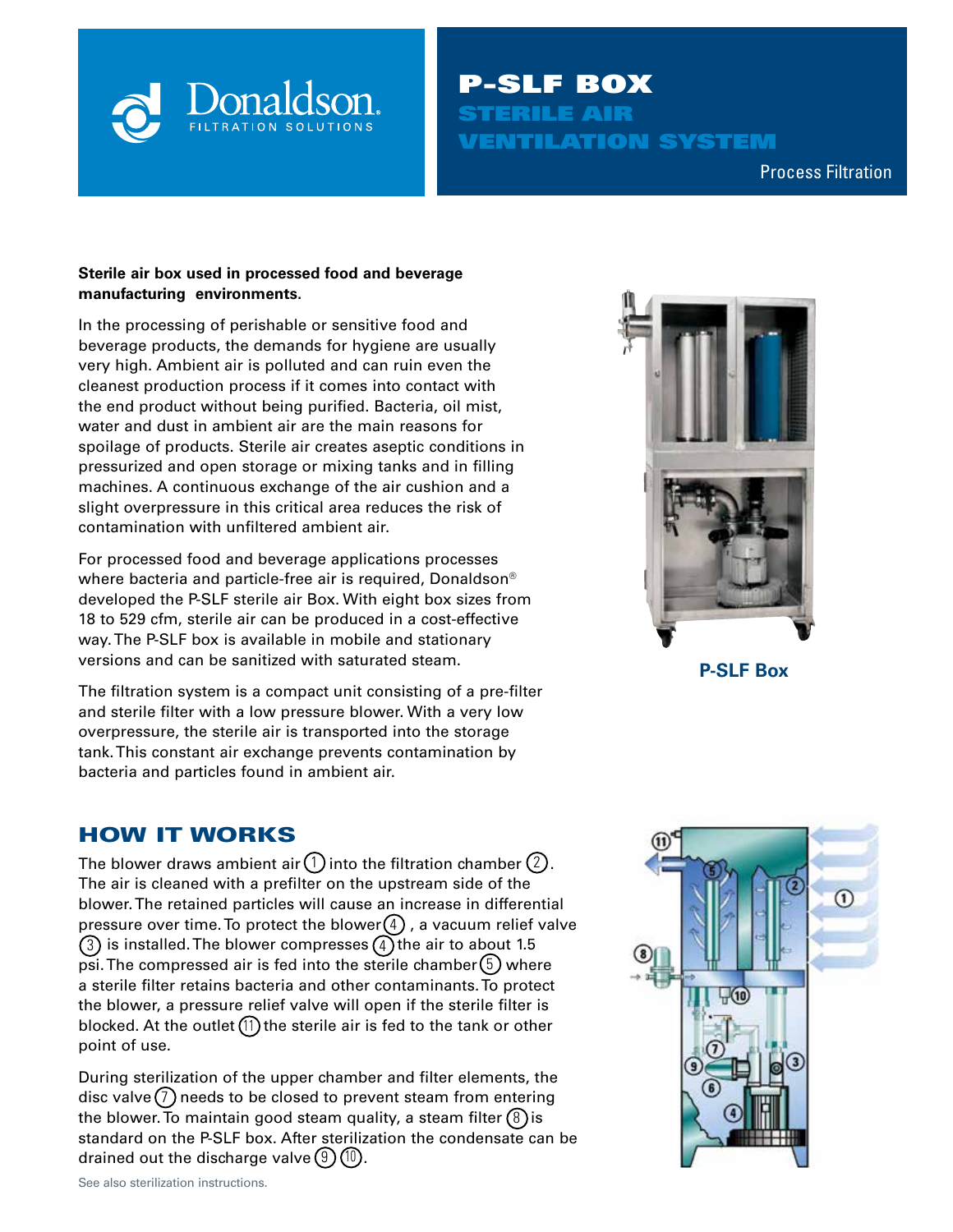

P-SLF BOX STERILE AIR VENTILATION SYSTEM

Compressed Air & Process Filtration Process Filtration

### **Sterile air box used in processed food and beverage manufacturing environments.**

In the processing of perishable or sensitive food and beverage products, the demands for hygiene are usually very high. Ambient air is polluted and can ruin even the cleanest production process if it comes into contact with the end product without being purified. Bacteria, oil mist, water and dust in ambient air are the main reasons for spoilage of products. Sterile air creates aseptic conditions in pressurized and open storage or mixing tanks and in filling machines. A continuous exchange of the air cushion and a slight overpressure in this critical area reduces the risk of contamination with unfiltered ambient air.

For processed food and beverage applications processes where bacteria and particle-free air is required, Donaldson® developed the P-SLF sterile air Box. With eight box sizes from 18 to 529 cfm, sterile air can be produced in a cost-effective way. The P-SLF box is available in mobile and stationary versions and can be sanitized with saturated steam.

The filtration system is a compact unit consisting of a pre-filter and sterile filter with a low pressure blower. With a very low overpressure, the sterile air is transported into the storage tank. This constant air exchange prevents contamination by bacteria and particles found in ambient air.

# HOW IT WORKS

The blower draws ambient air (1) into the filtration chamber (2). The air is cleaned with a prefilter on the upstream side of the blower. The retained particles will cause an increase in differential pressure over time. To protect the blower(4), a vacuum relief valve (3) is installed. The blower compresses (4) the air to about 1.5 psi. The compressed air is fed into the sterile chamber  $(5)$  where a sterile filter retains bacteria and other contaminants. To protect the blower, a pressure relief valve will open if the sterile filter is blocked. At the outlet (11) the sterile air is fed to the tank or other point of use.

During sterilization of the upper chamber and filter elements, the disc valve (7) needs to be closed to prevent steam from entering the blower. To maintain good steam quality, a steam filter (8 ) is  $\;$ standard on the P-SLF box. After sterilization the condensate can be drained out the discharge valve  $(9)(10)$ .



**P-SLF Box**